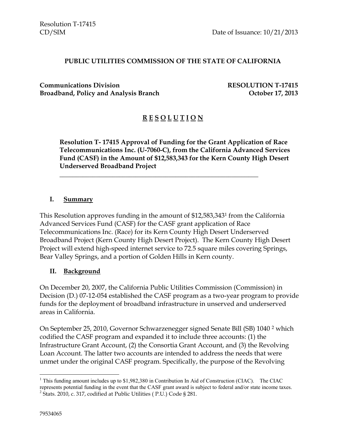#### **PUBLIC UTILITIES COMMISSION OF THE STATE OF CALIFORNIA**

**Communications Division RESOLUTION T-17415 Broadband, Policy and Analysis Branch October 17, 2013**

### **R E S O L U T I O N**

**Resolution T- 17415 Approval of Funding for the Grant Application of Race Telecommunications Inc. (U-7060-C), from the California Advanced Services Fund (CASF) in the Amount of \$12,583,343 for the Kern County High Desert Underserved Broadband Project**

#### **I. Summary**

This Resolution approves funding in the amount of \$12,583,343<sup>1</sup> from the California Advanced Services Fund (CASF) for the CASF grant application of Race Telecommunications Inc. (Race) for its Kern County High Desert Underserved Broadband Project (Kern County High Desert Project). The Kern County High Desert Project will extend high-speed internet service to 72.5 square miles covering Springs, Bear Valley Springs, and a portion of Golden Hills in Kern county.

\_\_\_\_\_\_\_\_\_\_\_\_\_\_\_\_\_\_\_\_\_\_\_\_\_\_\_\_\_\_\_\_\_\_\_\_\_\_\_\_\_\_\_\_\_\_\_\_\_\_\_\_\_\_\_\_\_\_\_\_

#### **II. Background**

On December 20, 2007, the California Public Utilities Commission (Commission) in Decision (D.) 07-12-054 established the CASF program as a two-year program to provide funds for the deployment of broadband infrastructure in unserved and underserved areas in California.

On September 25, 2010, Governor Schwarzenegger signed Senate Bill (SB) 1040 <sup>2</sup> which codified the CASF program and expanded it to include three accounts: (1) the Infrastructure Grant Account, (2) the Consortia Grant Account, and (3) the Revolving Loan Account. The latter two accounts are intended to address the needs that were unmet under the original CASF program. Specifically, the purpose of the Revolving

 $\overline{a}$ 

 $1$  This funding amount includes up to \$1,982,380 in Contribution In Aid of Construction (CIAC). The CIAC represents potential funding in the event that the CASF grant award is subject to federal and/or state income taxes. <sup>2</sup> Stats. 2010, c. 317, codified at Public Utilities (P.U.) Code § 281.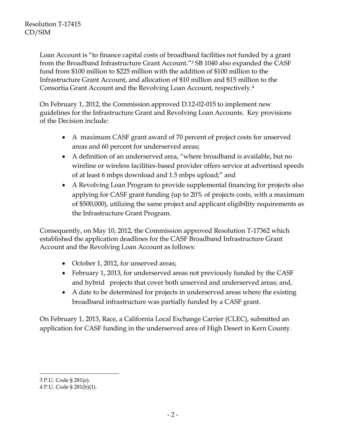Loan Account is "to finance capital costs of broadband facilities not funded by a grant from the Broadband Infrastructure Grant Account."<sup>3</sup> SB 1040 also expanded the CASF fund from \$100 million to \$225 million with the addition of \$100 million to the Infrastructure Grant Account, and allocation of \$10 million and \$15 million to the Consortia Grant Account and the Revolving Loan Account, respectively.<sup>4</sup>

On February 1, 2012, the Commission approved D.12-02-015 to implement new guidelines for the Infrastructure Grant and Revolving Loan Accounts. Key provisions of the Decision include:

- A maximum CASF grant award of 70 percent of project costs for unserved areas and 60 percent for underserved areas;
- A definition of an underserved area, "where broadband is available, but no wireline or wireless facilities-based provider offers service at advertised speeds of at least 6 mbps download and 1.5 mbps upload;" and
- A Revolving Loan Program to provide supplemental financing for projects also applying for CASF grant funding (up to 20% of projects costs, with a maximum of \$500,000), utilizing the same project and applicant eligibility requirements as the Infrastructure Grant Program.

Consequently, on May 10, 2012, the Commission approved Resolution T-17362 which established the application deadlines for the CASF Broadband Infrastructure Grant Account and the Revolving Loan Account as follows:

- October 1, 2012, for unserved areas;
- February 1, 2013, for underserved areas not previously funded by the CASF and hybrid projects that cover both unserved and underserved areas; and,
- A date to be determined for projects in underserved areas where the existing broadband infrastructure was partially funded by a CASF grant.

On February 1, 2013, Race, a California Local Exchange Carrier (CLEC), submitted an application for CASF funding in the underserved area of High Desert in Kern County.

 $\overline{a}$ 

<sup>3</sup> P.U. Code § 281(e).

<sup>4</sup> P.U. Code § 281(b)(1).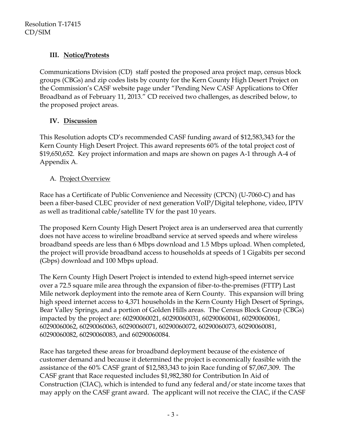# **III. Notice/Protests**

Communications Division (CD) staff posted the proposed area project map, census block groups (CBGs) and zip codes lists by county for the Kern County High Desert Project on the Commission's CASF website page under "Pending New CASF Applications to Offer Broadband as of February 11, 2013." CD received two challenges, as described below, to the proposed project areas.

# **IV. Discussion**

This Resolution adopts CD's recommended CASF funding award of \$12,583,343 for the Kern County High Desert Project. This award represents 60% of the total project cost of \$19,650,652. Key project information and maps are shown on pages A-1 through A-4 of Appendix A.

# A. Project Overview

Race has a Certificate of Public Convenience and Necessity (CPCN) (U-7060-C) and has been a fiber-based CLEC provider of next generation VoIP/Digital telephone, video, IPTV as well as traditional cable/satellite TV for the past 10 years.

The proposed Kern County High Desert Project area is an underserved area that currently does not have access to wireline broadband service at served speeds and where wireless broadband speeds are less than 6 Mbps download and 1.5 Mbps upload. When completed, the project will provide broadband access to households at speeds of 1 Gigabits per second (Gbps) download and 100 Mbps upload.

The Kern County High Desert Project is intended to extend high-speed internet service over a 72.5 square mile area through the expansion of fiber-to-the-premises (FTTP) Last Mile network deployment into the remote area of Kern County. This expansion will bring high speed internet access to 4,371 households in the Kern County High Desert of Springs, Bear Valley Springs, and a portion of Golden Hills areas. The Census Block Group (CBGs) impacted by the project are: 60290060021, 60290060031, 60290060041, 60290060061, 60290060062, 60290060063, 60290060071, 60290060072, 60290060073, 60290060081, 60290060082, 60290060083, and 60290060084.

Race has targeted these areas for broadband deployment because of the existence of customer demand and because it determined the project is economically feasible with the assistance of the 60% CASF grant of \$12,583,343 to join Race funding of \$7,067,309. The CASF grant that Race requested includes \$1,982,380 for Contribution In Aid of Construction (CIAC), which is intended to fund any federal and/or state income taxes that may apply on the CASF grant award. The applicant will not receive the CIAC, if the CASF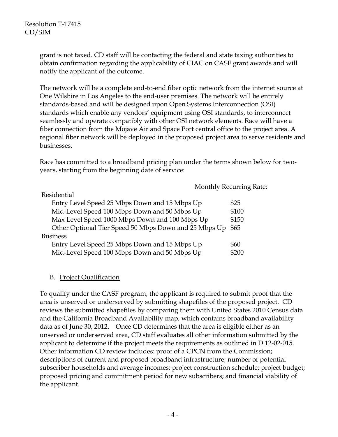grant is not taxed. CD staff will be contacting the federal and state taxing authorities to obtain confirmation regarding the applicability of CIAC on CASF grant awards and will notify the applicant of the outcome.

The network will be a complete end-to-end fiber optic network from the internet source at One Wilshire in Los Angeles to the end-user premises. The network will be entirely standards-based and will be designed upon Open Systems Interconnection (OSI) standards which enable any vendors' equipment using OSI standards, to interconnect seamlessly and operate compatibly with other OSI network elements. Race will have a fiber connection from the Mojave Air and Space Port central office to the project area. A regional fiber network will be deployed in the proposed project area to serve residents and businesses.

Race has committed to a broadband pricing plan under the terms shown below for twoyears, starting from the beginning date of service:

Rate:

| <b>Monthly Recurring</b>                              |       |
|-------------------------------------------------------|-------|
| Residential                                           |       |
| Entry Level Speed 25 Mbps Down and 15 Mbps Up         | \$25  |
| Mid-Level Speed 100 Mbps Down and 50 Mbps Up          | \$100 |
| Max Level Speed 1000 Mbps Down and 100 Mbps Up        | \$150 |
| Other Optional Tier Speed 50 Mbps Down and 25 Mbps Up | \$65  |
| <b>Business</b>                                       |       |
| Entry Level Speed 25 Mbps Down and 15 Mbps Up         | \$60  |
| Mid-Level Speed 100 Mbps Down and 50 Mbps Up          | \$200 |

#### B. Project Qualification

To qualify under the CASF program, the applicant is required to submit proof that the area is unserved or underserved by submitting shapefiles of the proposed project. CD reviews the submitted shapefiles by comparing them with United States 2010 Census data and the California Broadband Availability map, which contains broadband availability data as of June 30, 2012. Once CD determines that the area is eligible either as an unserved or underserved area, CD staff evaluates all other information submitted by the applicant to determine if the project meets the requirements as outlined in D.12-02-015. Other information CD review includes: proof of a CPCN from the Commission; descriptions of current and proposed broadband infrastructure; number of potential subscriber households and average incomes; project construction schedule; project budget; proposed pricing and commitment period for new subscribers; and financial viability of the applicant.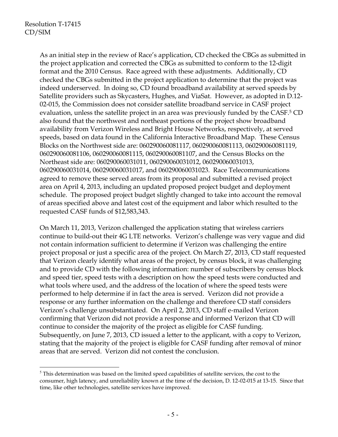$\overline{a}$ 

As an initial step in the review of Race's application, CD checked the CBGs as submitted in the project application and corrected the CBGs as submitted to conform to the 12-digit format and the 2010 Census. Race agreed with these adjustments. Additionally, CD checked the CBGs submitted in the project application to determine that the project was indeed underserved. In doing so, CD found broadband availability at served speeds by Satellite providers such as Skycasters, Hughes, and ViaSat. However, as adopted in D.12- 02-015, the Commission does not consider satellite broadband service in CASF project evaluation, unless the satellite project in an area was previously funded by the CASF.<sup>5</sup> CD also found that the northwest and northeast portions of the project show broadband availability from Verizon Wireless and Bright House Networks, respectively, at served speeds, based on data found in the California Interactive Broadband Map. These Census Blocks on the Northwest side are: 060290060081117, 060290060081113, 060290060081119, 060290060081106, 060290060081115, 060290060081107, and the Census Blocks on the Northeast side are: 060290060031011, 060290060031012, 060290060031013, 060290060031014, 060290060031017, and 060290060031023. Race Telecommunications agreed to remove these served areas from its proposal and submitted a revised project area on April 4, 2013, including an updated proposed project budget and deployment schedule. The proposed project budget slightly changed to take into account the removal of areas specified above and latest cost of the equipment and labor which resulted to the requested CASF funds of \$12,583,343.

On March 11, 2013, Verizon challenged the application stating that wireless carriers continue to build-out their 4G LTE networks. Verizon's challenge was very vague and did not contain information sufficient to determine if Verizon was challenging the entire project proposal or just a specific area of the project. On March 27, 2013, CD staff requested that Verizon clearly identify what areas of the project, by census block, it was challenging and to provide CD with the following information: number of subscribers by census block and speed tier, speed tests with a description on how the speed tests were conducted and what tools where used, and the address of the location of where the speed tests were performed to help determine if in fact the area is served. Verizon did not provide a response or any further information on the challenge and therefore CD staff considers Verizon's challenge unsubstantiated. On April 2, 2013, CD staff e-mailed Verizon confirming that Verizon did not provide a response and informed Verizon that CD will continue to consider the majority of the project as eligible for CASF funding. Subsequently, on June 7, 2013, CD issued a letter to the applicant, with a copy to Verizon, stating that the majority of the project is eligible for CASF funding after removal of minor areas that are served. Verizon did not contest the conclusion.

 $<sup>5</sup>$  This determination was based on the limited speed capabilities of satellite services, the cost to the</sup> consumer, high latency, and unreliability known at the time of the decision, D. 12-02-015 at 13-15. Since that time, like other technologies, satellite services have improved.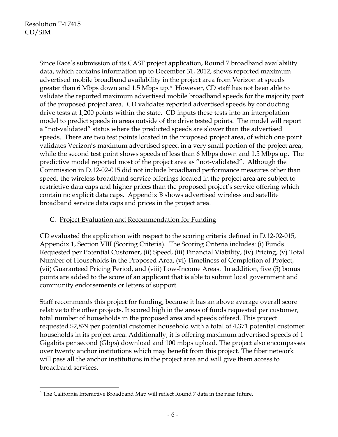Since Race's submission of its CASF project application, Round 7 broadband availability data, which contains information up to December 31, 2012, shows reported maximum advertised mobile broadband availability in the project area from Verizon at speeds greater than 6 Mbps down and 1.5 Mbps up.<sup>6</sup> However, CD staff has not been able to validate the reported maximum advertised mobile broadband speeds for the majority part of the proposed project area. CD validates reported advertised speeds by conducting drive tests at 1,200 points within the state. CD inputs these tests into an interpolation model to predict speeds in areas outside of the drive tested points. The model will report a "not-validated" status where the predicted speeds are slower than the advertised speeds. There are two test points located in the proposed project area, of which one point validates Verizon's maximum advertised speed in a very small portion of the project area, while the second test point shows speeds of less than 6 Mbps down and 1.5 Mbps up. The predictive model reported most of the project area as "not-validated". Although the Commission in D.12-02-015 did not include broadband performance measures other than speed, the wireless broadband service offerings located in the project area are subject to restrictive data caps and higher prices than the proposed project's service offering which contain no explicit data caps. Appendix B shows advertised wireless and satellite broadband service data caps and prices in the project area.

#### C. Project Evaluation and Recommendation for Funding

CD evaluated the application with respect to the scoring criteria defined in D.12-02-015, Appendix 1, Section VIII (Scoring Criteria). The Scoring Criteria includes: (i) Funds Requested per Potential Customer, (ii) Speed, (iii) Financial Viability, (iv) Pricing, (v) Total Number of Households in the Proposed Area, (vi) Timeliness of Completion of Project, (vii) Guaranteed Pricing Period, and (viii) Low-Income Areas. In addition, five (5) bonus points are added to the score of an applicant that is able to submit local government and community endorsements or letters of support.

Staff recommends this project for funding, because it has an above average overall score relative to the other projects. It scored high in the areas of funds requested per customer, total number of households in the proposed area and speeds offered. This project requested \$2,879 per potential customer household with a total of 4,371 potential customer households in its project area. Additionally, it is offering maximum advertised speeds of 1 Gigabits per second (Gbps) download and 100 mbps upload. The project also encompasses over twenty anchor institutions which may benefit from this project. The fiber network will pass all the anchor institutions in the project area and will give them access to broadband services.

 $\overline{a}$  $6$  The California Interactive Broadband Map will reflect Round 7 data in the near future.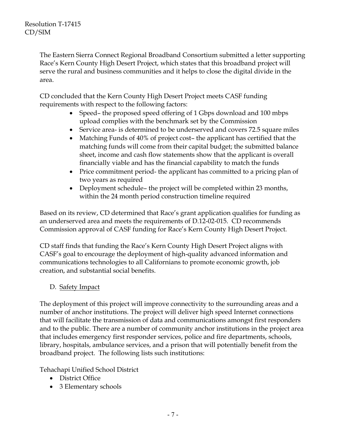The Eastern Sierra Connect Regional Broadband Consortium submitted a letter supporting Race's Kern County High Desert Project, which states that this broadband project will serve the rural and business communities and it helps to close the digital divide in the area.

CD concluded that the Kern County High Desert Project meets CASF funding requirements with respect to the following factors:

- Speed– the proposed speed offering of 1 Gbps download and 100 mbps upload complies with the benchmark set by the Commission
- Service area- is determined to be underserved and covers 72.5 square miles
- Matching Funds of 40% of project cost– the applicant has certified that the matching funds will come from their capital budget; the submitted balance sheet, income and cash flow statements show that the applicant is overall financially viable and has the financial capability to match the funds
- Price commitment period- the applicant has committed to a pricing plan of two years as required
- Deployment schedule– the project will be completed within 23 months, within the 24 month period construction timeline required

Based on its review, CD determined that Race's grant application qualifies for funding as an underserved area and meets the requirements of D.12-02-015. CD recommends Commission approval of CASF funding for Race's Kern County High Desert Project.

CD staff finds that funding the Race's Kern County High Desert Project aligns with CASF's goal to encourage the deployment of high-quality advanced information and communications technologies to all Californians to promote economic growth, job creation, and substantial social benefits.

# D. Safety Impact

The deployment of this project will improve connectivity to the surrounding areas and a number of anchor institutions. The project will deliver high speed Internet connections that will facilitate the transmission of data and communications amongst first responders and to the public. There are a number of community anchor institutions in the project area that includes emergency first responder services, police and fire departments, schools, library, hospitals, ambulance services, and a prison that will potentially benefit from the broadband project. The following lists such institutions:

Tehachapi Unified School District

- District Office
- 3 Elementary schools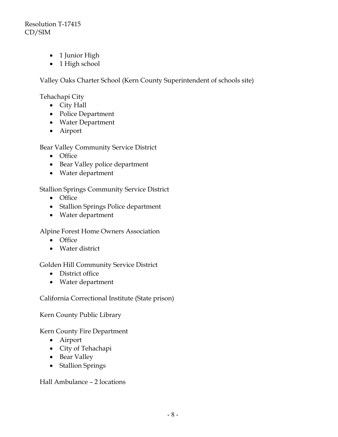Resolution T-17415 CD/SIM

- 1 Junior High
- 1 High school

Valley Oaks Charter School (Kern County Superintendent of schools site)

Tehachapi City

- City Hall
- Police Department
- Water Department
- Airport

Bear Valley Community Service District

- Office
- Bear Valley police department
- Water department

Stallion Springs Community Service District

- Office
- Stallion Springs Police department
- Water department

Alpine Forest Home Owners Association

- Office
- Water district

#### Golden Hill Community Service District

- District office
- Water department

California Correctional Institute (State prison)

Kern County Public Library

#### Kern County Fire Department

- Airport
- City of Tehachapi
- Bear Valley
- Stallion Springs

Hall Ambulance – 2 locations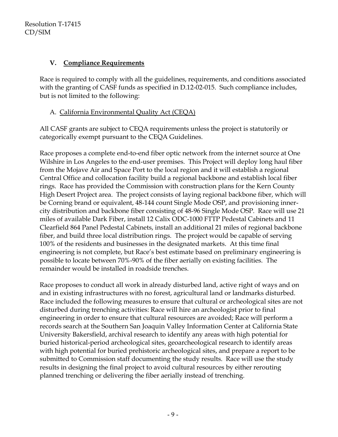### **V. Compliance Requirements**

Race is required to comply with all the guidelines, requirements, and conditions associated with the granting of CASF funds as specified in D.12-02-015. Such compliance includes, but is not limited to the following:

# A. California Environmental Quality Act (CEQA)

All CASF grants are subject to CEQA requirements unless the project is statutorily or categorically exempt pursuant to the CEQA Guidelines.

Race proposes a complete end-to-end fiber optic network from the internet source at One Wilshire in Los Angeles to the end-user premises. This Project will deploy long haul fiber from the Mojave Air and Space Port to the local region and it will establish a regional Central Office and collocation facility build a regional backbone and establish local fiber rings. Race has provided the Commission with construction plans for the Kern County High Desert Project area. The project consists of laying regional backbone fiber, which will be Corning brand or equivalent, 48-144 count Single Mode OSP, and provisioning innercity distribution and backbone fiber consisting of 48-96 Single Mode OSP. Race will use 21 miles of available Dark Fiber, install 12 Calix ODC-1000 FTTP Pedestal Cabinets and 11 Clearfield 864 Panel Pedestal Cabinets, install an additional 21 miles of regional backbone fiber, and build three local distribution rings. The project would be capable of serving 100% of the residents and businesses in the designated markets. At this time final engineering is not complete, but Race's best estimate based on preliminary engineering is possible to locate between 70%-90% of the fiber aerially on existing facilities. The remainder would be installed in roadside trenches.

Race proposes to conduct all work in already disturbed land, active right of ways and on and in existing infrastructures with no forest, agricultural land or landmarks disturbed. Race included the following measures to ensure that cultural or archeological sites are not disturbed during trenching activities: Race will hire an archeologist prior to final engineering in order to ensure that cultural resources are avoided; Race will perform a records search at the Southern San Joaquin Valley Information Center at California State University Bakersfield, archival research to identify any areas with high potential for buried historical-period archeological sites, geoarcheological research to identify areas with high potential for buried prehistoric archeological sites, and prepare a report to be submitted to Commission staff documenting the study results. Race will use the study results in designing the final project to avoid cultural resources by either rerouting planned trenching or delivering the fiber aerially instead of trenching.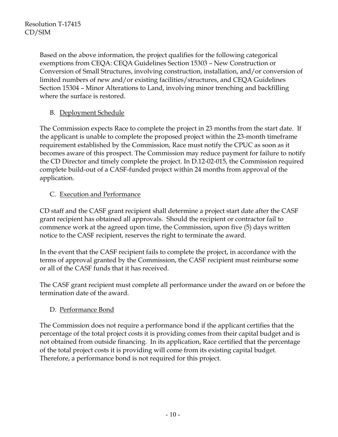Based on the above information, the project qualifies for the following categorical exemptions from CEQA: CEQA Guidelines Section 15303 – New Construction or Conversion of Small Structures, involving construction, installation, and/or conversion of limited numbers of new and/or existing facilities/structures, and CEQA Guidelines Section 15304 – Minor Alterations to Land, involving minor trenching and backfilling where the surface is restored.

# B. Deployment Schedule

The Commission expects Race to complete the project in 23 months from the start date. If the applicant is unable to complete the proposed project within the 23-month timeframe requirement established by the Commission, Race must notify the CPUC as soon as it becomes aware of this prospect. The Commission may reduce payment for failure to notify the CD Director and timely complete the project. In D.12-02-015, the Commission required complete build-out of a CASF-funded project within 24 months from approval of the application.

# C. Execution and Performance

CD staff and the CASF grant recipient shall determine a project start date after the CASF grant recipient has obtained all approvals. Should the recipient or contractor fail to commence work at the agreed upon time, the Commission, upon five (5) days written notice to the CASF recipient, reserves the right to terminate the award.

In the event that the CASF recipient fails to complete the project, in accordance with the terms of approval granted by the Commission, the CASF recipient must reimburse some or all of the CASF funds that it has received.

The CASF grant recipient must complete all performance under the award on or before the termination date of the award.

# D. Performance Bond

The Commission does not require a performance bond if the applicant certifies that the percentage of the total project costs it is providing comes from their capital budget and is not obtained from outside financing. In its application, Race certified that the percentage of the total project costs it is providing will come from its existing capital budget. Therefore, a performance bond is not required for this project.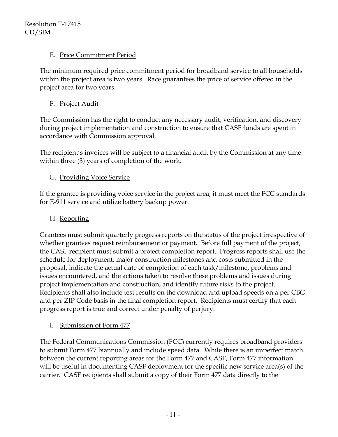### E. Price Commitment Period

The minimum required price commitment period for broadband service to all households within the project area is two years. Race guarantees the price of service offered in the project area for two years.

# F. Project Audit

The Commission has the right to conduct any necessary audit, verification, and discovery during project implementation and construction to ensure that CASF funds are spent in accordance with Commission approval.

The recipient's invoices will be subject to a financial audit by the Commission at any time within three (3) years of completion of the work.

### G. Providing Voice Service

If the grantee is providing voice service in the project area, it must meet the FCC standards for E-911 service and utilize battery backup power.

#### H. Reporting

Grantees must submit quarterly progress reports on the status of the project irrespective of whether grantees request reimbursement or payment. Before full payment of the project, the CASF recipient must submit a project completion report. Progress reports shall use the schedule for deployment, major construction milestones and costs submitted in the proposal, indicate the actual date of completion of each task/milestone, problems and issues encountered, and the actions taken to resolve these problems and issues during project implementation and construction, and identify future risks to the project. Recipients shall also include test results on the download and upload speeds on a per CBG and per ZIP Code basis in the final completion report. Recipients must certify that each progress report is true and correct under penalty of perjury.

I. Submission of Form 477

The Federal Communications Commission (FCC) currently requires broadband providers to submit Form 477 biannually and include speed data. While there is an imperfect match between the current reporting areas for the Form 477 and CASF, Form 477 information will be useful in documenting CASF deployment for the specific new service area(s) of the carrier. CASF recipients shall submit a copy of their Form 477 data directly to the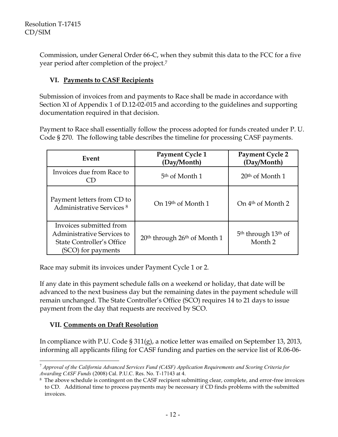Commission, under General Order 66-C, when they submit this data to the FCC for a five year period after completion of the project.<sup>7</sup>

#### **VI. Payments to CASF Recipients**

Submission of invoices from and payments to Race shall be made in accordance with Section XI of Appendix 1 of D.12-02-015 and according to the guidelines and supporting documentation required in that decision.

Payment to Race shall essentially follow the process adopted for funds created under P. U. Code § 270. The following table describes the timeline for processing CASF payments.

| Event                                                                                                           | Payment Cycle 1<br>(Day/Month)                       | <b>Payment Cycle 2</b><br>(Day/Month)                             |
|-----------------------------------------------------------------------------------------------------------------|------------------------------------------------------|-------------------------------------------------------------------|
| Invoices due from Race to                                                                                       | 5 <sup>th</sup> of Month 1                           | $20th$ of Month 1                                                 |
| Payment letters from CD to<br><b>Administrative Services 8</b>                                                  | On 19th of Month 1                                   | On 4 <sup>th</sup> of Month 2                                     |
| Invoices submitted from<br><b>Administrative Services to</b><br>State Controller's Office<br>(SCO) for payments | 20 <sup>th</sup> through 26 <sup>th</sup> of Month 1 | 5 <sup>th</sup> through 13 <sup>th</sup> of<br>Month <sub>2</sub> |

Race may submit its invoices under Payment Cycle 1 or 2.

If any date in this payment schedule falls on a weekend or holiday, that date will be advanced to the next business day but the remaining dates in the payment schedule will remain unchanged. The State Controller's Office (SCO) requires 14 to 21 days to issue payment from the day that requests are received by SCO.

#### **VII. Comments on Draft Resolution**

In compliance with P.U. Code § 311(g), a notice letter was emailed on September 13, 2013, informing all applicants filing for CASF funding and parties on the service list of R.06-06-

 $\overline{a}$ <sup>7</sup> *Approval of the California Advanced Services Fund (CASF) Application Requirements and Scoring Criteria for Awarding CASF Funds* (2008) Cal. P.U.C. Res. No. T-17143 at 4.

<sup>8</sup> The above schedule is contingent on the CASF recipient submitting clear, complete, and error-free invoices to CD. Additional time to process payments may be necessary if CD finds problems with the submitted invoices.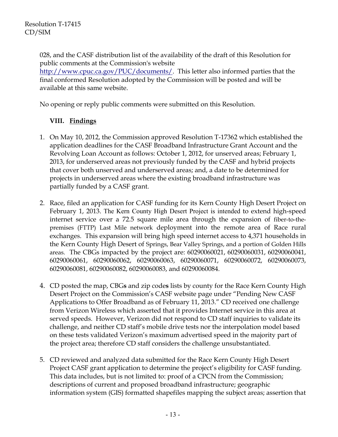028, and the CASF distribution list of the availability of the draft of this Resolution for public comments at the Commission's website [http://www.cpuc.ca.gov/PUC/documents/.](http://www.cpuc.ca.gov/PUC/documents/) This letter also informed parties that the final conformed Resolution adopted by the Commission will be posted and will be available at this same website.

No opening or reply public comments were submitted on this Resolution.

### **VIII. Findings**

- 1. On May 10, 2012, the Commission approved Resolution T-17362 which established the application deadlines for the CASF Broadband Infrastructure Grant Account and the Revolving Loan Account as follows: October 1, 2012, for unserved areas; February 1, 2013, for underserved areas not previously funded by the CASF and hybrid projects that cover both unserved and underserved areas; and, a date to be determined for projects in underserved areas where the existing broadband infrastructure was partially funded by a CASF grant.
- 2. Race, filed an application for CASF funding for its Kern County High Desert Project on February 1, 2013. The Kern County High Desert Project is intended to extend high-speed internet service over a 72.5 square mile area through the expansion of fiber-to-thepremises (FTTP) Last Mile network deployment into the remote area of Race rural exchanges. This expansion will bring high speed internet access to 4,371 households in the Kern County High Desert of Springs, Bear Valley Springs, and a portion of Golden Hills areas. The CBGs impacted by the project are: 60290060021, 60290060031, 60290060041, 60290060061, 60290060062, 60290060063, 60290060071, 60290060072, 60290060073, 60290060081, 60290060082, 60290060083, and 60290060084.
- 4. CD posted the map, CBG**s** and zip code**s** lists by county for the Race Kern County High Desert Project on the Commission's CASF website page under "Pending New CASF Applications to Offer Broadband as of February 11, 2013." CD received one challenge from Verizon Wireless which asserted that it provides Internet service in this area at served speeds. However, Verizon did not respond to CD staff inquiries to validate its challenge, and neither CD staff's mobile drive tests nor the interpolation model based on these tests validated Verizon's maximum advertised speed in the majority part of the project area; therefore CD staff considers the challenge unsubstantiated.
- 5. CD reviewed and analyzed data submitted for the Race Kern County High Desert Project CASF grant application to determine the project's eligibility for CASF funding. This data includes, but is not limited to: proof of a CPCN from the Commission; descriptions of current and proposed broadband infrastructure; geographic information system (GIS) formatted shapefiles mapping the subject areas; assertion that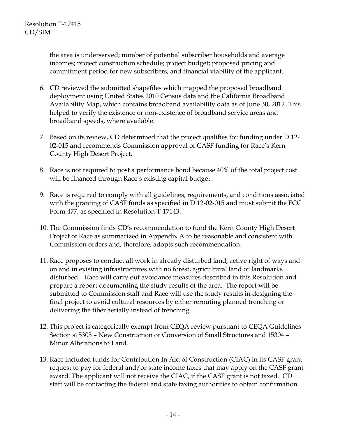the area is underserved; number of potential subscriber households and average incomes; project construction schedule; project budget; proposed pricing and commitment period for new subscribers; and financial viability of the applicant.

- 6. CD reviewed the submitted shapefiles which mapped the proposed broadband deployment using United States 2010 Census data and the California Broadband Availability Map, which contains broadband availability data as of June 30, 2012. This helped to verify the existence or non-existence of broadband service areas and broadband speeds, where available.
- 7. Based on its review, CD determined that the project qualifies for funding under D.12- 02-015 and recommends Commission approval of CASF funding for Race's Kern County High Desert Project.
- 8. Race is not required to post a performance bond because 40% of the total project cost will be financed through Race's existing capital budget.
- 9. Race is required to comply with all guidelines, requirements, and conditions associated with the granting of CASF funds as specified in D.12-02-015 and must submit the FCC Form 477, as specified in Resolution T-17143.
- 10. The Commission finds CD's recommendation to fund the Kern County High Desert Project of Race as summarized in Appendix A to be reasonable and consistent with Commission orders and, therefore, adopts such recommendation.
- 11. Race proposes to conduct all work in already disturbed land, active right of ways and on and in existing infrastructures with no forest, agricultural land or landmarks disturbed. Race will carry out avoidance measures described in this Resolution and prepare a report documenting the study results of the area. The report will be submitted to Commission staff and Race will use the study results in designing the final project to avoid cultural resources by either rerouting planned trenching or delivering the fiber aerially instead of trenching.
- 12. This project is categorically exempt from CEQA review pursuant to CEQA Guidelines Section s15303 – New Construction or Conversion of Small Structures and 15304 – Minor Alterations to Land.
- 13. Race included funds for Contribution In Aid of Construction (CIAC) in its CASF grant request to pay for federal and/or state income taxes that may apply on the CASF grant award. The applicant will not receive the CIAC, if the CASF grant is not taxed. CD staff will be contacting the federal and state taxing authorities to obtain confirmation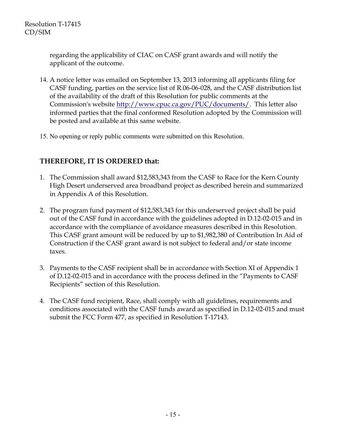regarding the applicability of CIAC on CASF grant awards and will notify the applicant of the outcome.

- 14. A notice letter was emailed on September 13, 2013 informing all applicants filing for CASF funding, parties on the service list of R.06-06-028, and the CASF distribution list of the availability of the draft of this Resolution for public comments at the Commission's website <http://www.cpuc.ca.gov/PUC/documents/>. This letter also informed parties that the final conformed Resolution adopted by the Commission will be posted and available at this same website.
- 15. No opening or reply public comments were submitted on this Resolution.

# **THEREFORE, IT IS ORDERED that:**

- 1. The Commission shall award \$12,583,343 from the CASF to Race for the Kern County High Desert underserved area broadband project as described herein and summarized in Appendix A of this Resolution.
- 2. The program fund payment of \$12,583,343 for this underserved project shall be paid out of the CASF fund in accordance with the guidelines adopted in D.12-02-015 and in accordance with the compliance of avoidance measures described in this Resolution. This CASF grant amount will be reduced by up to \$1,982,380 of Contribution In Aid of Construction if the CASF grant award is not subject to federal and/or state income taxes.
- 3. Payments to the CASF recipient shall be in accordance with Section XI of Appendix 1 of D.12-02-015 and in accordance with the process defined in the "Payments to CASF Recipients" section of this Resolution.
- 4. The CASF fund recipient, Race, shall comply with all guidelines, requirements and conditions associated with the CASF funds award as specified in D.12-02-015 and must submit the FCC Form 477, as specified in Resolution T-17143.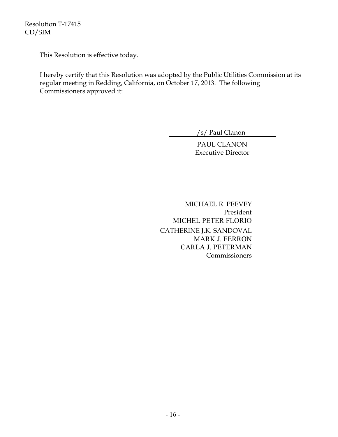Resolution T-17415 CD/SIM

This Resolution is effective today.

I hereby certify that this Resolution was adopted by the Public Utilities Commission at its regular meeting in Redding, California, on October 17, 2013. The following Commissioners approved it:

/s/ Paul Clanon

PAUL CLANON Executive Director

 MICHAEL R. PEEVEY President MICHEL PETER FLORIO CATHERINE J.K. SANDOVAL MARK J. FERRON CARLA J. PETERMAN Commissioners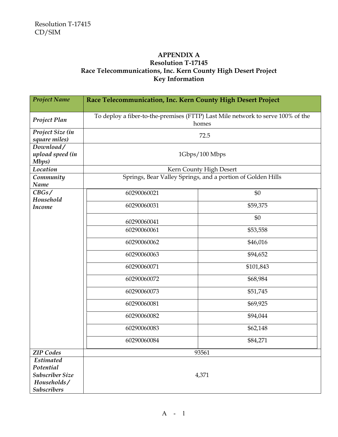#### **APPENDIX A Resolution T-17145 Race Telecommunications, Inc. Kern County High Desert Project Key Information**

| <b>Project Name</b>    | Race Telecommunication, Inc. Kern County High Desert Project                             |                                                             |
|------------------------|------------------------------------------------------------------------------------------|-------------------------------------------------------------|
|                        |                                                                                          |                                                             |
| Project Plan           | To deploy a fiber-to-the-premises (FTTP) Last Mile network to serve 100% of the<br>homes |                                                             |
| Project Size (in       |                                                                                          | 72.5                                                        |
| square miles)          |                                                                                          |                                                             |
| Download/              |                                                                                          |                                                             |
| upload speed (in       | 1Gbps/100 Mbps                                                                           |                                                             |
| Mbps)                  |                                                                                          |                                                             |
| Location               |                                                                                          | Kern County High Desert                                     |
| Community<br>Name      |                                                                                          | Springs, Bear Valley Springs, and a portion of Golden Hills |
| CBGs/                  | 60290060021                                                                              | \$0                                                         |
| Household              |                                                                                          |                                                             |
| <b>Income</b>          | 60290060031                                                                              | \$59,375                                                    |
|                        | 60290060041                                                                              | \$0                                                         |
|                        | 60290060061                                                                              | \$53,558                                                    |
|                        | 60290060062                                                                              | \$46,016                                                    |
|                        | 60290060063                                                                              | \$94,652                                                    |
|                        | 60290060071                                                                              | \$101,843                                                   |
|                        | 60290060072                                                                              | \$68,984                                                    |
|                        | 60290060073                                                                              | \$51,745                                                    |
|                        | 60290060081                                                                              | \$69,925                                                    |
|                        | 60290060082                                                                              | \$94,044                                                    |
|                        | 60290060083                                                                              | \$62,148                                                    |
|                        | 60290060084                                                                              | \$84,271                                                    |
| <b>ZIP</b> Codes       | 93561                                                                                    |                                                             |
| <b>Estimated</b>       |                                                                                          |                                                             |
| Potential              |                                                                                          |                                                             |
| <b>Subscriber Size</b> | 4,371                                                                                    |                                                             |
| Households/            |                                                                                          |                                                             |
| <b>Subscribers</b>     |                                                                                          |                                                             |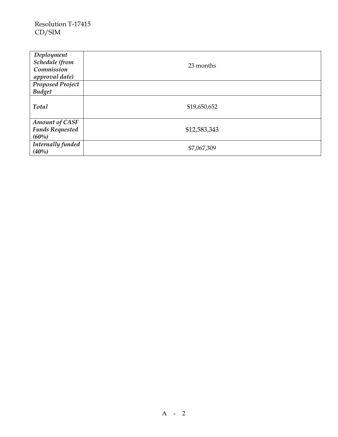| Deployment<br>Schedule (from<br>Commission<br>approval date) | 23 months    |
|--------------------------------------------------------------|--------------|
| <b>Proposed Project</b>                                      |              |
| <b>Budget</b>                                                |              |
| Total                                                        | \$19,650,652 |
| <b>Amount of CASF</b><br><b>Funds Requested</b><br>(60%)     | \$12,583,343 |
| Internally funded<br>(40%)                                   | \$7,067,309  |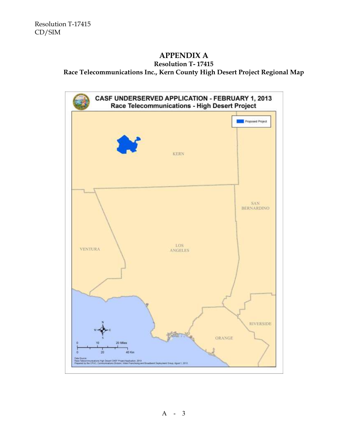# **APPENDIX A**

# **Resolution T- 17415**

**Race Telecommunications Inc., Kern County High Desert Project Regional Map**

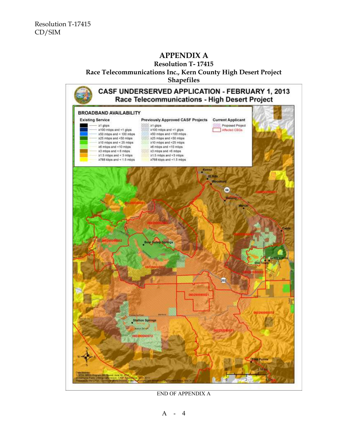# **APPENDIX A**

**Resolution T- 17415 Race Telecommunications Inc., Kern County High Desert Project Shapefiles**



END OF APPENDIX A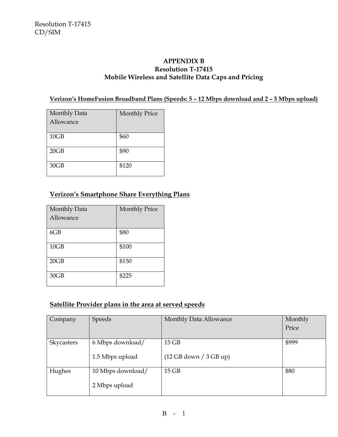#### **APPENDIX B Resolution T-17415 Mobile Wireless and Satellite Data Caps and Pricing**

#### **Verizon's HomeFusion Broadband Plans (Speeds: 5 – 12 Mbps download and 2 – 5 Mbps upload)**

| Monthly Data | <b>Monthly Price</b> |
|--------------|----------------------|
| Allowance    |                      |
|              |                      |
| 10GB         | \$60                 |
| 20GB         | \$90                 |
| 30GB         | \$120                |

# **Verizon's Smartphone Share Everything Plans**

| Monthly Data<br>Allowance | <b>Monthly Price</b> |
|---------------------------|----------------------|
| 6GB                       | \$80                 |
| 10GB                      | \$100                |
| 20GB                      | \$150                |
| 30GB                      | \$225                |

#### **Satellite Provider plans in the area at served speeds**

| Company    | <b>Speeds</b>     | Monthly Data Allowance | Monthly |
|------------|-------------------|------------------------|---------|
|            |                   |                        | Price   |
|            |                   |                        |         |
| Skycasters | 6 Mbps download/  | $15$ GB                | \$999   |
|            | 1.5 Mbps upload   | (12 GB down / 3 GB up) |         |
| Hughes     | 10 Mbps download/ | $15$ GB                | \$80    |
|            | 2 Mbps upload     |                        |         |